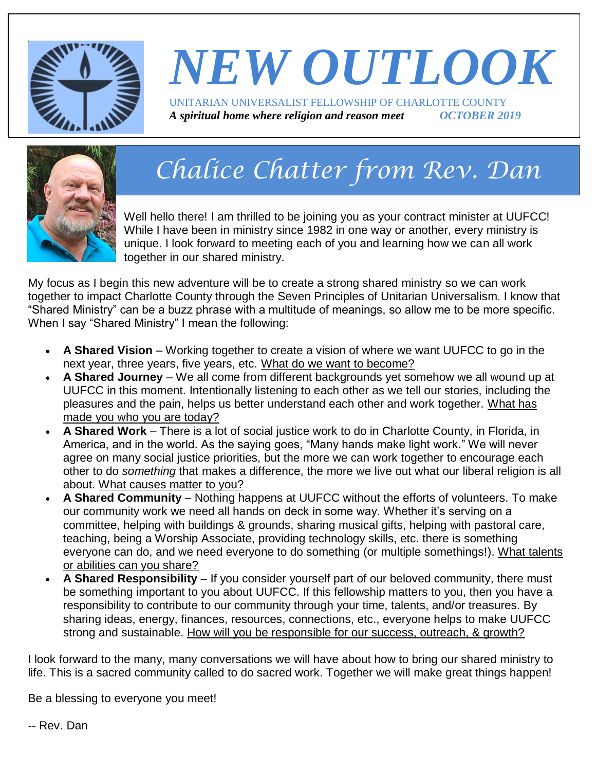

# *NEW OUTLOOK* UNITARIAN UNIVERSALIST FELLOWSHIP OF CHARLOTTE COUNTY

*A spiritual home where religion and reason meet OCTOBER 2019*



# *Chalice Chatter from Rev. Dan*

Well hello there! I am thrilled to be joining you as your contract minister at UUFCC! While I have been in ministry since 1982 in one way or another, every ministry is unique. I look forward to meeting each of you and learning how we can all work together in our shared ministry.

My focus as I begin this new adventure will be to create a strong shared ministry so we can work together to impact Charlotte County through the Seven Principles of Unitarian Universalism. I know that "Shared Ministry" can be a buzz phrase with a multitude of meanings, so allow me to be more specific. When I say "Shared Ministry" I mean the following:

- **A Shared Vision** Working together to create a vision of where we want UUFCC to go in the next year, three years, five years, etc. What do we want to become?
- **A Shared Journey** We all come from different backgrounds yet somehow we all wound up at UUFCC in this moment. Intentionally listening to each other as we tell our stories, including the pleasures and the pain, helps us better understand each other and work together. What has made you who you are today?
- **A Shared Work** There is a lot of social justice work to do in Charlotte County, in Florida, in America, and in the world. As the saying goes, "Many hands make light work." We will never agree on many social justice priorities, but the more we can work together to encourage each other to do *something* that makes a difference, the more we live out what our liberal religion is all about. What causes matter to you?
- **A Shared Community** Nothing happens at UUFCC without the efforts of volunteers. To make our community work we need all hands on deck in some way. Whether it's serving on a committee, helping with buildings & grounds, sharing musical gifts, helping with pastoral care, teaching, being a Worship Associate, providing technology skills, etc. there is something everyone can do, and we need everyone to do something (or multiple somethings!). What talents or abilities can you share?
- **A Shared Responsibility** If you consider yourself part of our beloved community, there must be something important to you about UUFCC. If this fellowship matters to you, then you have a responsibility to contribute to our community through your time, talents, and/or treasures. By sharing ideas, energy, finances, resources, connections, etc., everyone helps to make UUFCC strong and sustainable. How will you be responsible for our success, outreach, & growth?

I look forward to the many, many conversations we will have about how to bring our shared ministry to life. This is a sacred community called to do sacred work. Together we will make great things happen!

Be a blessing to everyone you meet!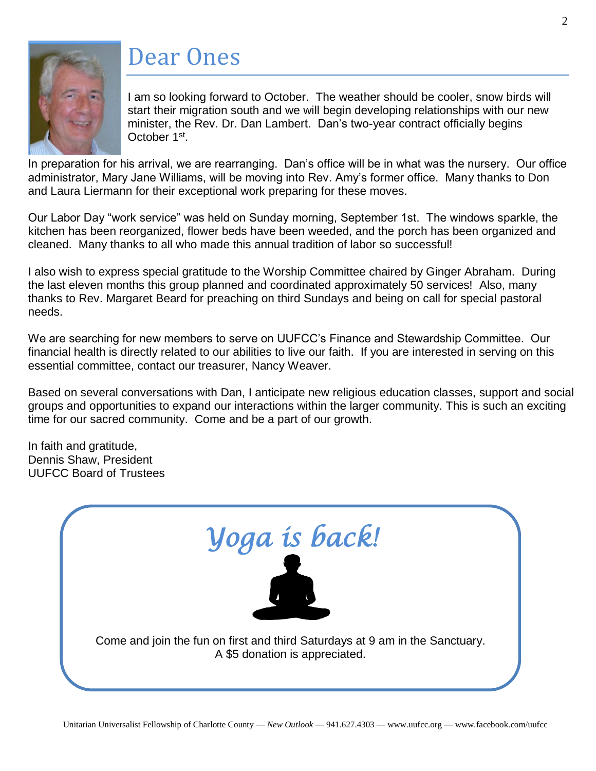

## Dear Ones

I am so looking forward to October. The weather should be cooler, snow birds will start their migration south and we will begin developing relationships with our new minister, the Rev. Dr. Dan Lambert. Dan's two-year contract officially begins October 1<sup>st</sup>.

In preparation for his arrival, we are rearranging. Dan's office will be in what was the nursery. Our office administrator, Mary Jane Williams, will be moving into Rev. Amy's former office. Many thanks to Don and Laura Liermann for their exceptional work preparing for these moves.

Our Labor Day "work service" was held on Sunday morning, September 1st. The windows sparkle, the kitchen has been reorganized, flower beds have been weeded, and the porch has been organized and cleaned. Many thanks to all who made this annual tradition of labor so successful!

I also wish to express special gratitude to the Worship Committee chaired by Ginger Abraham. During the last eleven months this group planned and coordinated approximately 50 services! Also, many thanks to Rev. Margaret Beard for preaching on third Sundays and being on call for special pastoral needs.

We are searching for new members to serve on UUFCC's Finance and Stewardship Committee. Our financial health is directly related to our abilities to live our faith. If you are interested in serving on this essential committee, contact our treasurer, Nancy Weaver.

Based on several conversations with Dan, I anticipate new religious education classes, support and social groups and opportunities to expand our interactions within the larger community. This is such an exciting time for our sacred community. Come and be a part of our growth.

In faith and gratitude, Dennis Shaw, President UUFCC Board of Trustees

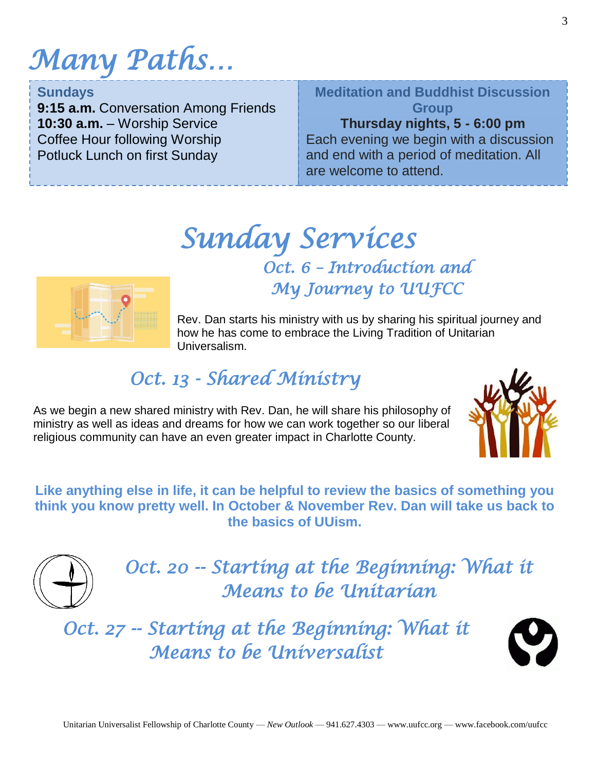# *Many Paths…*

#### **Sundays**

**9:15 a.m.** Conversation Among Friends **10:30 a.m.** – Worship Service Coffee Hour following Worship Potluck Lunch on first Sunday

### **Meditation and Buddhist Discussion Group**

### **Thursday nights, 5 - 6:00 pm**

 $\overline{ \cdot }$ Each evening we begin with a discussion and end with a period of meditation. All are welcome to attend.

## *Sunday Services Oct. 6 – Introduction and My Journey to UUFCC*



Rev. Dan starts his ministry with us by sharing his spiritual journey and how he has come to embrace the Living Tradition of Unitarian Universalism.

## *Oct. 13 - Shared Ministry*

As we begin a new shared ministry with Rev. Dan, he will share his philosophy of ministry as well as ideas and dreams for how we can work together so our liberal religious community can have an even greater impact in Charlotte County.



**Like anything else in life, it can be helpful to review the basics of something you think you know pretty well. In October & November Rev. Dan will take us back to the basics of UUism.**



Oct. 20 -- Starting at the Beginning: What it *Means to be Unitarian* 

*Oct. 27 -- Starting at the Beginning: What it Means to be Universalist* 

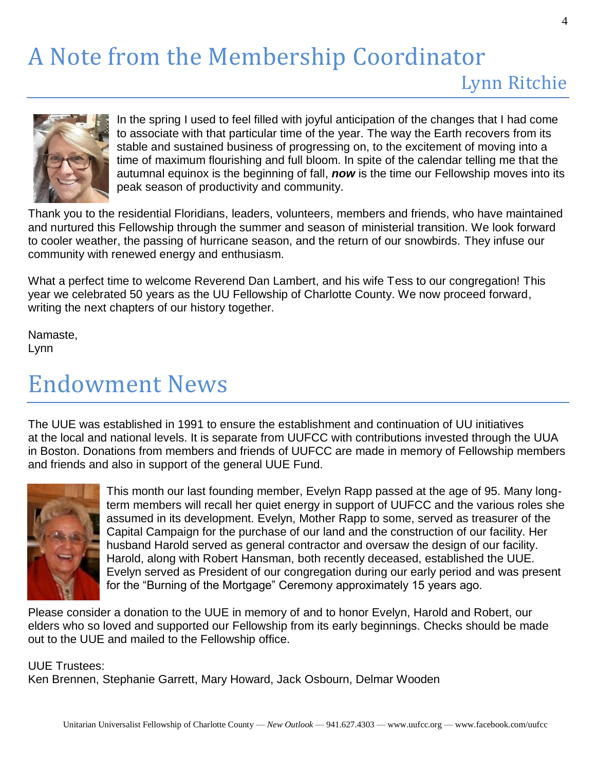# A Note from the Membership Coordinator



In the spring I used to feel filled with joyful anticipation of the changes that I had come to associate with that particular time of the year. The way the Earth recovers from its stable and sustained business of progressing on, to the excitement of moving into a time of maximum flourishing and full bloom. In spite of the calendar telling me that the autumnal equinox is the beginning of fall, *now* is the time our Fellowship moves into its peak season of productivity and community.

Thank you to the residential Floridians, leaders, volunteers, members and friends, who have maintained and nurtured this Fellowship through the summer and season of ministerial transition. We look forward to cooler weather, the passing of hurricane season, and the return of our snowbirds. They infuse our community with renewed energy and enthusiasm.

What a perfect time to welcome Reverend Dan Lambert, and his wife Tess to our congregation! This year we celebrated 50 years as the UU Fellowship of Charlotte County. We now proceed forward, writing the next chapters of our history together.

Namaste, Lynn

## Endowment News

The UUE was established in 1991 to ensure the establishment and continuation of UU initiatives at the local and national levels. It is separate from UUFCC with contributions invested through the UUA in Boston. Donations from members and friends of UUFCC are made in memory of Fellowship members and friends and also in support of the general UUE Fund.



This month our last founding member, Evelyn Rapp passed at the age of 95. Many longterm members will recall her quiet energy in support of UUFCC and the various roles she assumed in its development. Evelyn, Mother Rapp to some, served as treasurer of the Capital Campaign for the purchase of our land and the construction of our facility. Her husband Harold served as general contractor and oversaw the design of our facility. Harold, along with Robert Hansman, both recently deceased, established the UUE. Evelyn served as President of our congregation during our early period and was present for the "Burning of the Mortgage" Ceremony approximately 15 years ago.

Please consider a donation to the UUE in memory of and to honor Evelyn, Harold and Robert, our elders who so loved and supported our Fellowship from its early beginnings. Checks should be made out to the UUE and mailed to the Fellowship office.

#### UUE Trustees:

Ken Brennen, Stephanie Garrett, Mary Howard, Jack Osbourn, Delmar Wooden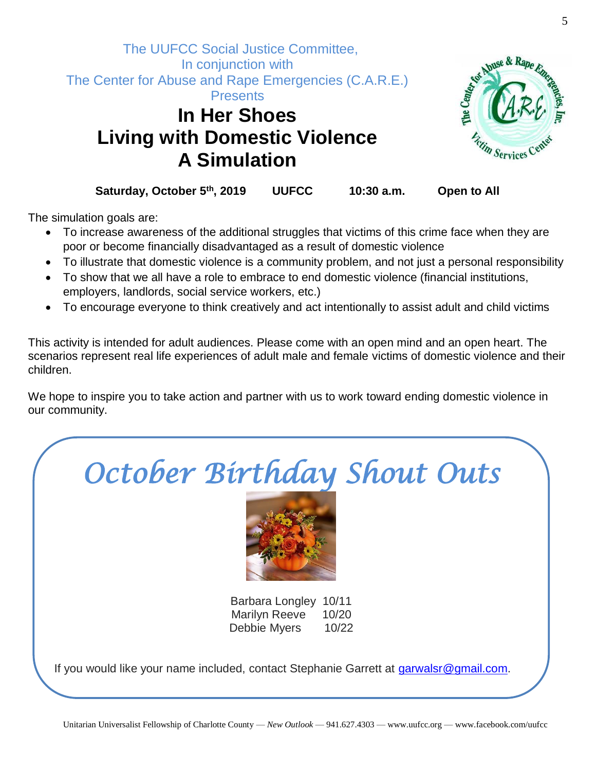



**Saturday, October 5th, 2019 UUFCC 10:30 a.m. Open to All**

The simulation goals are:

- To increase awareness of the additional struggles that victims of this crime face when they are poor or become financially disadvantaged as a result of domestic violence
- To illustrate that domestic violence is a community problem, and not just a personal responsibility
- To show that we all have a role to embrace to end domestic violence (financial institutions, employers, landlords, social service workers, etc.)
- To encourage everyone to think creatively and act intentionally to assist adult and child victims

This activity is intended for adult audiences. Please come with an open mind and an open heart. The scenarios represent real life experiences of adult male and female victims of domestic violence and their children.

We hope to inspire you to take action and partner with us to work toward ending domestic violence in our community.

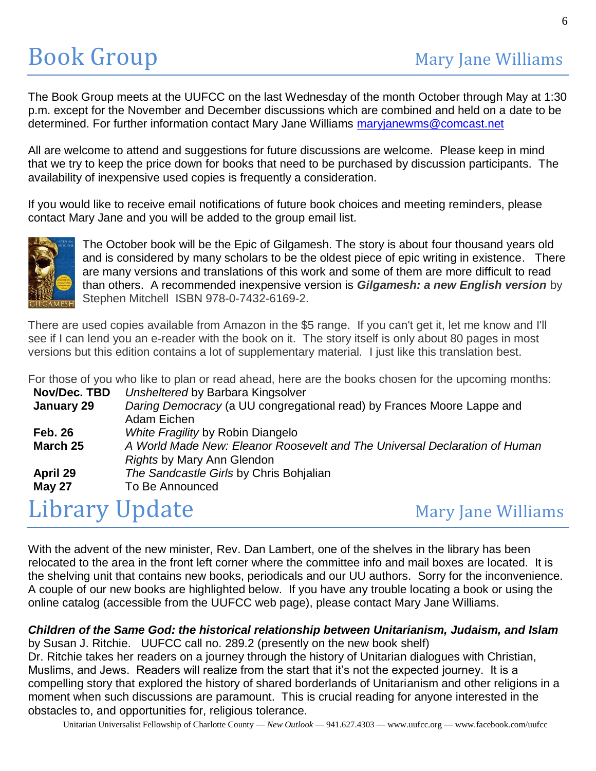The Book Group meets at the UUFCC on the last Wednesday of the month October through May at 1:30 p.m. except for the November and December discussions which are combined and held on a date to be determined. For further information contact Mary Jane Williams [maryjanewms@comcast.net](mailto:maryjanewms@comcast.net)

All are welcome to attend and suggestions for future discussions are welcome. Please keep in mind that we try to keep the price down for books that need to be purchased by discussion participants. The availability of inexpensive used copies is frequently a consideration.

If you would like to receive email notifications of future book choices and meeting reminders, please contact Mary Jane and you will be added to the group email list.



The October book will be the Epic of Gilgamesh. The story is about four thousand years old and is considered by many scholars to be the oldest piece of epic writing in existence. There are many versions and translations of this work and some of them are more difficult to read than others. A recommended inexpensive version is *Gilgamesh: a new English version* by Stephen Mitchell ISBN 978-0-7432-6169-2.

There are used copies available from Amazon in the \$5 range. If you can't get it, let me know and I'll see if I can lend you an e-reader with the book on it. The story itself is only about 80 pages in most versions but this edition contains a lot of supplementary material. I just like this translation best.

For those of you who like to plan or read ahead, here are the books chosen for the upcoming months:

| יטו מוססס סו פסט אזווס ווויס גס פומור סו רסמט מווסמט, ווסוס מוס מוס פסטונס סווססטורוסו מוס מפסטוווווטן וווסוומ |                                                                            |
|----------------------------------------------------------------------------------------------------------------|----------------------------------------------------------------------------|
| Nov/Dec. TBD                                                                                                   | Unsheltered by Barbara Kingsolver                                          |
| January 29                                                                                                     | Daring Democracy (a UU congregational read) by Frances Moore Lappe and     |
|                                                                                                                | Adam Eichen                                                                |
| <b>Feb. 26</b>                                                                                                 | White Fragility by Robin Diangelo                                          |
| March 25                                                                                                       | A World Made New: Eleanor Roosevelt and The Universal Declaration of Human |
|                                                                                                                | Rights by Mary Ann Glendon                                                 |
| April 29                                                                                                       | The Sandcastle Girls by Chris Bohjalian                                    |
| <b>May 27</b>                                                                                                  | To Be Announced                                                            |
|                                                                                                                |                                                                            |

## Library Update Mary Jane Williams

With the advent of the new minister, Rev. Dan Lambert, one of the shelves in the library has been relocated to the area in the front left corner where the committee info and mail boxes are located. It is the shelving unit that contains new books, periodicals and our UU authors. Sorry for the inconvenience. A couple of our new books are highlighted below. If you have any trouble locating a book or using the online catalog (accessible from the UUFCC web page), please contact Mary Jane Williams.

### *Children of the Same God: the historical relationship between Unitarianism, Judaism, and Islam*

by Susan J. Ritchie. UUFCC call no. 289.2 (presently on the new book shelf) Dr. Ritchie takes her readers on a journey through the history of Unitarian dialogues with Christian, Muslims, and Jews. Readers will realize from the start that it's not the expected journey. It is a compelling story that explored the history of shared borderlands of Unitarianism and other religions in a moment when such discussions are paramount. This is crucial reading for anyone interested in the obstacles to, and opportunities for, religious tolerance.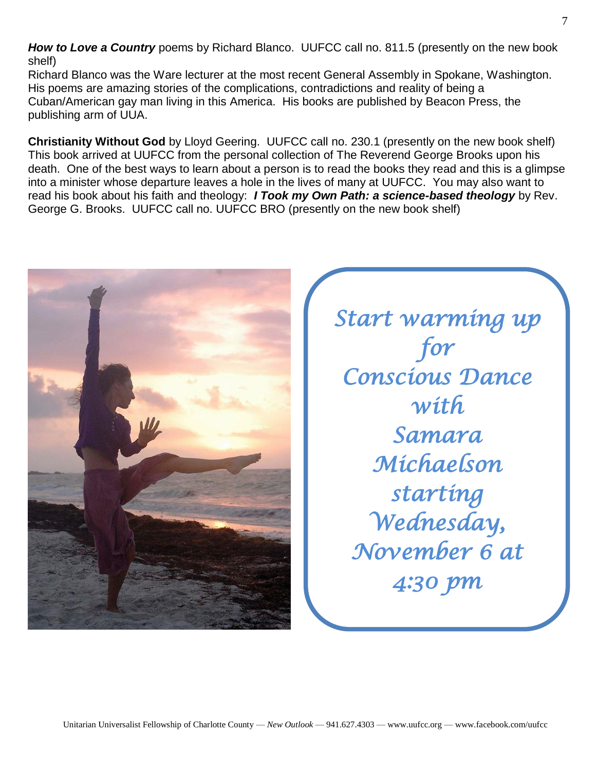*How to Love a Country* poems by Richard Blanco. UUFCC call no. 811.5 (presently on the new book shelf)

Richard Blanco was the Ware lecturer at the most recent General Assembly in Spokane, Washington. His poems are amazing stories of the complications, contradictions and reality of being a Cuban/American gay man living in this America. His books are published by Beacon Press, the publishing arm of UUA.

**Christianity Without God** by Lloyd Geering. UUFCC call no. 230.1 (presently on the new book shelf) This book arrived at UUFCC from the personal collection of The Reverend George Brooks upon his death. One of the best ways to learn about a person is to read the books they read and this is a glimpse into a minister whose departure leaves a hole in the lives of many at UUFCC. You may also want to read his book about his faith and theology: *I Took my Own Path: a science-based theology* by Rev. George G. Brooks. UUFCC call no. UUFCC BRO (presently on the new book shelf)



*Start warming up for Conscious Dance with Samara Michaelson starting Wednesday, November 6 at 4:30 pm*